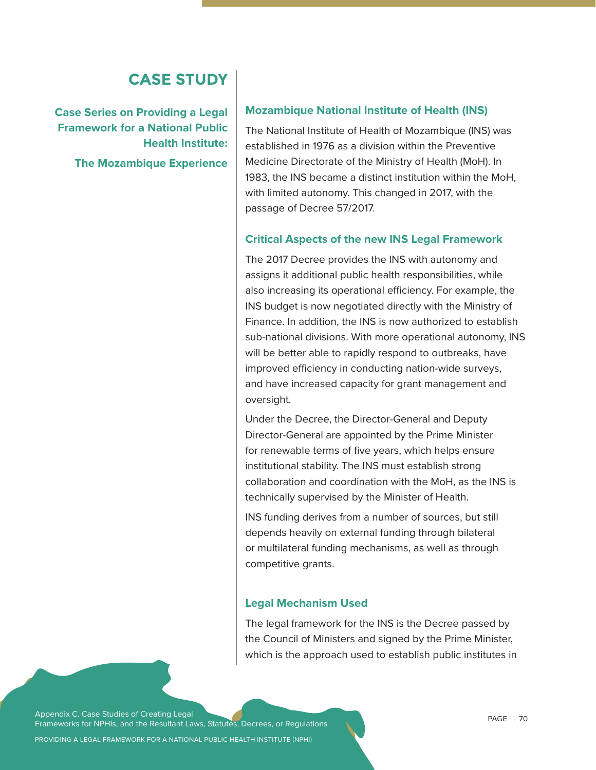# **CASE STUDY**

**Case Series on Providing a Legal Framework for a National Public Health Institute: The Mozambique Experience** 

#### **Mozambique National Institute of Health (INS)**

The National Institute of Health of Mozambique (INS) was established in 1976 as a division within the Preventive Medicine Directorate of the Ministry of Health (MoH). In 1983, the INS became a distinct institution within the MoH, with limited autonomy. This changed in 2017, with the passage of Decree 57/2017.

#### **Critical Aspects of the new INS Legal Framework**

The 2017 Decree provides the INS with autonomy and assigns it additional public health responsibilities, while also increasing its operational efficiency. For example, the INS budget is now negotiated directly with the Ministry of Finance. In addition, the INS is now authorized to establish sub-national divisions. With more operational autonomy, INS will be better able to rapidly respond to outbreaks, have improved efficiency in conducting nation-wide surveys, and have increased capacity for grant management and oversight.

Under the Decree, the Director-General and Deputy Director-General are appointed by the Prime Minister for renewable terms of five years, which helps ensure institutional stability. The INS must establish strong collaboration and coordination with the MoH, as the INS is technically supervised by the Minister of Health.

INS funding derives from a number of sources, but still depends heavily on external funding through bilateral or multilateral funding mechanisms, as well as through competitive grants.

#### **Legal Mechanism Used**

The legal framework for the INS is the Decree passed by the Council of Ministers and signed by the Prime Minister, which is the approach used to establish public institutes in

Appendix C. Case Studies of Creating Legal Frameworks for NPHIs, and the Resultant Laws, Statutes, Decrees, or Regulations

PROVIDING A LEGAL FRAMEWORK FOR A NATIONAL PUBLIC HEALTH INSTITUTE (NPHI)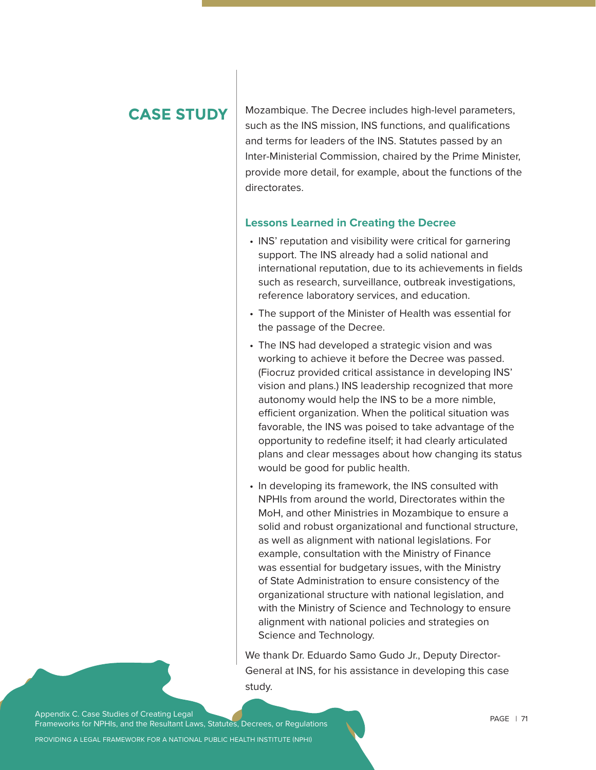# **CASE STUDY**

Mozambique. The Decree includes high-level parameters, such as the INS mission, INS functions, and qualifications and terms for leaders of the INS. Statutes passed by an Inter-Ministerial Commission, chaired by the Prime Minister, provide more detail, for example, about the functions of the directorates.

#### **Lessons Learned in Creating the Decree**

- INS' reputation and visibility were critical for garnering support. The INS already had a solid national and international reputation, due to its achievements in fields such as research, surveillance, outbreak investigations, reference laboratory services, and education.
- The support of the Minister of Health was essential for the passage of the Decree.
- The INS had developed a strategic vision and was working to achieve it before the Decree was passed. (Fiocruz provided critical assistance in developing INS' vision and plans.) INS leadership recognized that more autonomy would help the INS to be a more nimble, efficient organization. When the political situation was favorable, the INS was poised to take advantage of the opportunity to redefine itself; it had clearly articulated plans and clear messages about how changing its status would be good for public health.
- In developing its framework, the INS consulted with NPHIs from around the world, Directorates within the MoH, and other Ministries in Mozambique to ensure a solid and robust organizational and functional structure, as well as alignment with national legislations. For example, consultation with the Ministry of Finance was essential for budgetary issues, with the Ministry of State Administration to ensure consistency of the organizational structure with national legislation, and with the Ministry of Science and Technology to ensure alignment with national policies and strategies on Science and Technology.

We thank Dr. Eduardo Samo Gudo Jr., Deputy Director-General at INS, for his assistance in developing this case study.

Appendix C. Case Studies of Creating Legal Frameworks for NPHIs, and the Resultant Laws, Statutes, Decrees, or Regulations

PROVIDING A LEGAL FRAMEWORK FOR A NATIONAL PUBLIC HEALTH INSTITUTE (NPHI)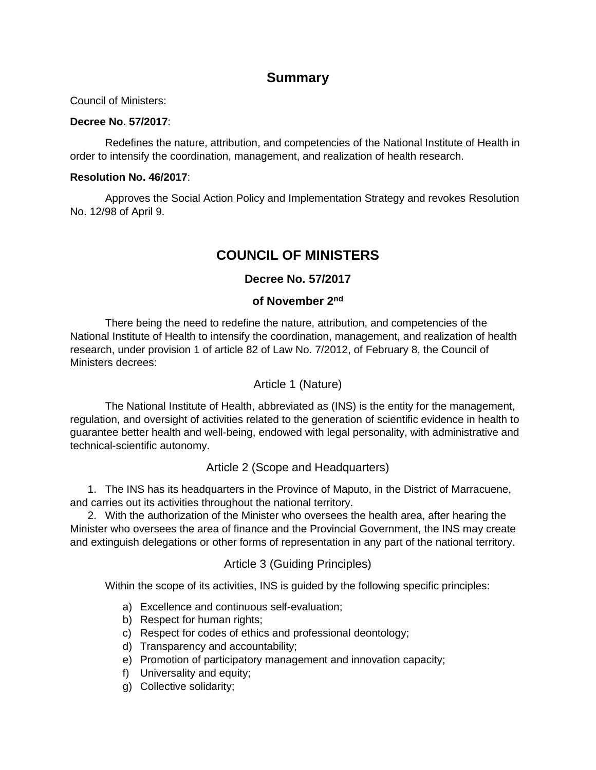# **Summary**

Council of Ministers:

#### **Decree No. 57/2017**:

Redefines the nature, attribution, and competencies of the National Institute of Health in order to intensify the coordination, management, and realization of health research.

#### **Resolution No. 46/2017**:

Approves the Social Action Policy and Implementation Strategy and revokes Resolution No. 12/98 of April 9.

# **COUNCIL OF MINISTERS**

## **Decree No. 57/2017**

### **of November 2nd**

There being the need to redefine the nature, attribution, and competencies of the National Institute of Health to intensify the coordination, management, and realization of health research, under provision 1 of article 82 of Law No. 7/2012, of February 8, the Council of Ministers decrees:

#### Article 1 (Nature)

The National Institute of Health, abbreviated as (INS) is the entity for the management, regulation, and oversight of activities related to the generation of scientific evidence in health to guarantee better health and well-being, endowed with legal personality, with administrative and technical-scientific autonomy.

### Article 2 (Scope and Headquarters)

1. The INS has its headquarters in the Province of Maputo, in the District of Marracuene, and carries out its activities throughout the national territory.

2. With the authorization of the Minister who oversees the health area, after hearing the Minister who oversees the area of finance and the Provincial Government, the INS may create and extinguish delegations or other forms of representation in any part of the national territory.

### Article 3 (Guiding Principles)

Within the scope of its activities, INS is guided by the following specific principles:

- a) Excellence and continuous self-evaluation;
- b) Respect for human rights;
- c) Respect for codes of ethics and professional deontology;
- d) Transparency and accountability;
- e) Promotion of participatory management and innovation capacity;
- f) Universality and equity;
- g) Collective solidarity;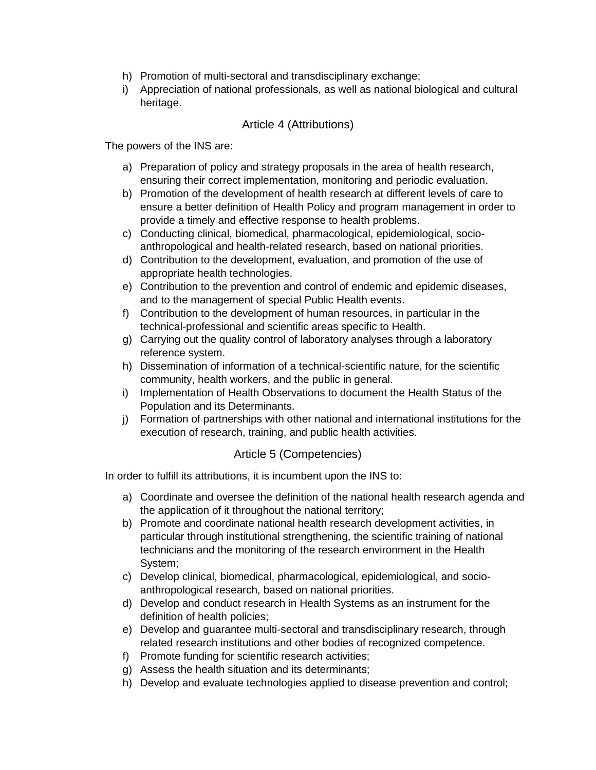- h) Promotion of multi-sectoral and transdisciplinary exchange;
- i) Appreciation of national professionals, as well as national biological and cultural heritage.

### Article 4 (Attributions)

The powers of the INS are:

- a) Preparation of policy and strategy proposals in the area of health research, ensuring their correct implementation, monitoring and periodic evaluation.
- b) Promotion of the development of health research at different levels of care to ensure a better definition of Health Policy and program management in order to provide a timely and effective response to health problems.
- c) Conducting clinical, biomedical, pharmacological, epidemiological, socioanthropological and health-related research, based on national priorities.
- d) Contribution to the development, evaluation, and promotion of the use of appropriate health technologies.
- e) Contribution to the prevention and control of endemic and epidemic diseases, and to the management of special Public Health events.
- f) Contribution to the development of human resources, in particular in the technical-professional and scientific areas specific to Health.
- g) Carrying out the quality control of laboratory analyses through a laboratory reference system.
- h) Dissemination of information of a technical-scientific nature, for the scientific community, health workers, and the public in general.
- i) Implementation of Health Observations to document the Health Status of the Population and its Determinants.
- j) Formation of partnerships with other national and international institutions for the execution of research, training, and public health activities.

## Article 5 (Competencies)

In order to fulfill its attributions, it is incumbent upon the INS to:

- a) Coordinate and oversee the definition of the national health research agenda and the application of it throughout the national territory;
- b) Promote and coordinate national health research development activities, in particular through institutional strengthening, the scientific training of national technicians and the monitoring of the research environment in the Health System;
- c) Develop clinical, biomedical, pharmacological, epidemiological, and socioanthropological research, based on national priorities.
- d) Develop and conduct research in Health Systems as an instrument for the definition of health policies;
- e) Develop and guarantee multi-sectoral and transdisciplinary research, through related research institutions and other bodies of recognized competence.
- f) Promote funding for scientific research activities;
- g) Assess the health situation and its determinants;
- h) Develop and evaluate technologies applied to disease prevention and control;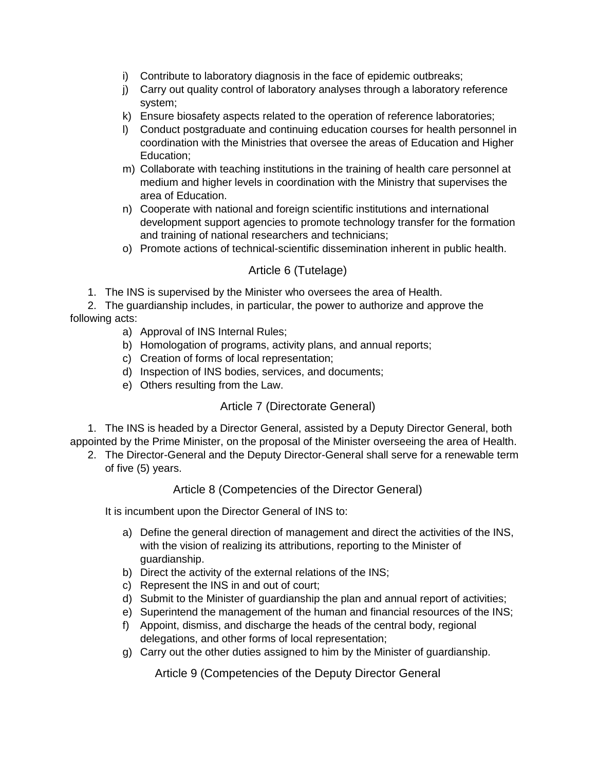- i) Contribute to laboratory diagnosis in the face of epidemic outbreaks;
- j) Carry out quality control of laboratory analyses through a laboratory reference system;
- k) Ensure biosafety aspects related to the operation of reference laboratories;
- l) Conduct postgraduate and continuing education courses for health personnel in coordination with the Ministries that oversee the areas of Education and Higher Education;
- m) Collaborate with teaching institutions in the training of health care personnel at medium and higher levels in coordination with the Ministry that supervises the area of Education.
- n) Cooperate with national and foreign scientific institutions and international development support agencies to promote technology transfer for the formation and training of national researchers and technicians;
- o) Promote actions of technical-scientific dissemination inherent in public health.

## Article 6 (Tutelage)

1. The INS is supervised by the Minister who oversees the area of Health.

2. The guardianship includes, in particular, the power to authorize and approve the following acts:

- a) Approval of INS Internal Rules;
- b) Homologation of programs, activity plans, and annual reports;
- c) Creation of forms of local representation;
- d) Inspection of INS bodies, services, and documents;
- e) Others resulting from the Law.

### Article 7 (Directorate General)

1. The INS is headed by a Director General, assisted by a Deputy Director General, both appointed by the Prime Minister, on the proposal of the Minister overseeing the area of Health.

2. The Director-General and the Deputy Director-General shall serve for a renewable term of five (5) years.

### Article 8 (Competencies of the Director General)

It is incumbent upon the Director General of INS to:

- a) Define the general direction of management and direct the activities of the INS, with the vision of realizing its attributions, reporting to the Minister of guardianship.
- b) Direct the activity of the external relations of the INS;
- c) Represent the INS in and out of court;
- d) Submit to the Minister of guardianship the plan and annual report of activities;
- e) Superintend the management of the human and financial resources of the INS;
- f) Appoint, dismiss, and discharge the heads of the central body, regional delegations, and other forms of local representation;
- g) Carry out the other duties assigned to him by the Minister of guardianship.

Article 9 (Competencies of the Deputy Director General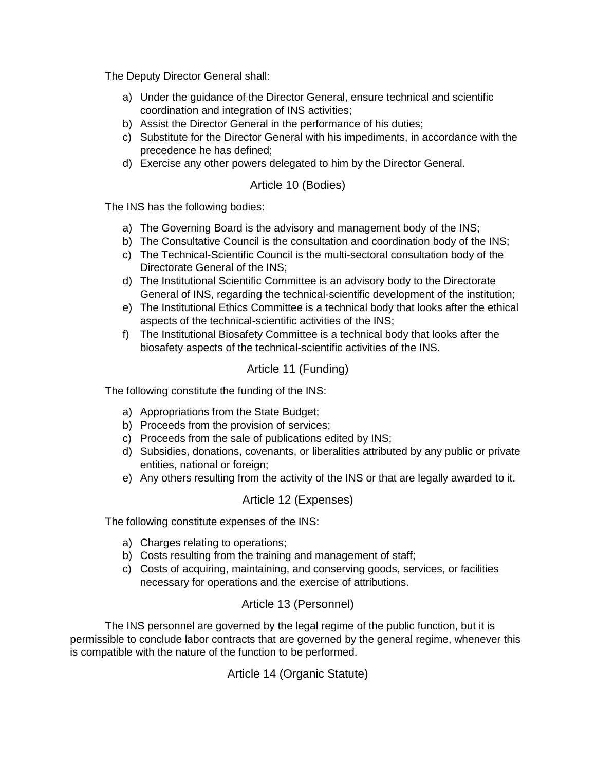The Deputy Director General shall:

- a) Under the guidance of the Director General, ensure technical and scientific coordination and integration of INS activities;
- b) Assist the Director General in the performance of his duties;
- c) Substitute for the Director General with his impediments, in accordance with the precedence he has defined;
- d) Exercise any other powers delegated to him by the Director General.

## Article 10 (Bodies)

The INS has the following bodies:

- a) The Governing Board is the advisory and management body of the INS;
- b) The Consultative Council is the consultation and coordination body of the INS;
- c) The Technical-Scientific Council is the multi-sectoral consultation body of the Directorate General of the INS;
- d) The Institutional Scientific Committee is an advisory body to the Directorate General of INS, regarding the technical-scientific development of the institution;
- e) The Institutional Ethics Committee is a technical body that looks after the ethical aspects of the technical-scientific activities of the INS;
- f) The Institutional Biosafety Committee is a technical body that looks after the biosafety aspects of the technical-scientific activities of the INS.

### Article 11 (Funding)

The following constitute the funding of the INS:

- a) Appropriations from the State Budget;
- b) Proceeds from the provision of services;
- c) Proceeds from the sale of publications edited by INS;
- d) Subsidies, donations, covenants, or liberalities attributed by any public or private entities, national or foreign;
- e) Any others resulting from the activity of the INS or that are legally awarded to it.

### Article 12 (Expenses)

The following constitute expenses of the INS:

- a) Charges relating to operations;
- b) Costs resulting from the training and management of staff;
- c) Costs of acquiring, maintaining, and conserving goods, services, or facilities necessary for operations and the exercise of attributions.

## Article 13 (Personnel)

The INS personnel are governed by the legal regime of the public function, but it is permissible to conclude labor contracts that are governed by the general regime, whenever this is compatible with the nature of the function to be performed.

Article 14 (Organic Statute)